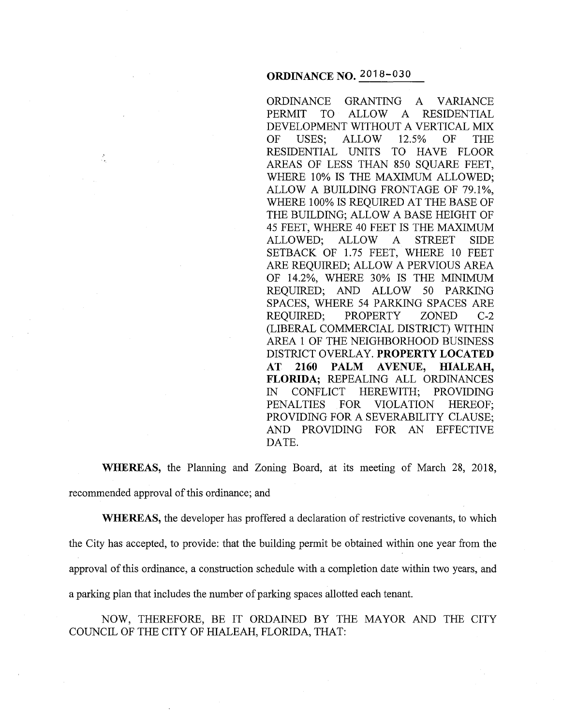#### **ORDINANCE NO.** 2018-030

ORDINANCE GRANTING A VARIANCE PERMIT TO ALLOW A RESIDENTIAL DEVELOPMENT WITHOUT A VERTICAL MIX OF USES; ALLOW 12.5% OF THE RESIDENTIAL UNITS TO HAVE FLOOR AREAS OF LESS THAN 850 SQUARE FEET, WHERE 10% IS THE MAXIMUM ALLOWED; ALLOW A BUILDING FRONTAGE OF 79.1%, WHERE 100% IS REQUIRED AT THE BASE OF THE BUILDING; ALLOW A BASE HEIGHT OF 45 FEET, WHERE 40 FEET IS THE MAXIMUM ALLOWED; ALLOW A STREET SIDE SETBACK OF 1.75 FEET, WHERE 10 FEET ARE REQUIRED; ALLOW A PERVIOUS AREA OF 14.2%, WHERE 30% IS THE MINIMUM REQUIRED; AND ALLOW 50 PARKING SPACES, WHERE 54 PARKING SPACES ARE REQUIRED; PROPERTY ZONED C-2 (LIBERAL COMMERCIAL DISTRICT) WITHIN AREA 1 OF THE NEIGHBORHOOD BUSINESS DISTRICT OVERLAY. **PROPERTY LOCATED AT 2160 PALM AVENUE, HIALEAH, FLORIDA;** REPEALING ALL ORDINANCES IN CONFLICT HEREWITH; PROVIDING PENALTIES FOR VIOLATION HEREOF; PROVIDING FOR A SEVERABILITY CLAUSE; AND PROVIDING FOR AN EFFECTIVE DATE.

**WHEREAS,** the Planning and Zoning Board, at its meeting of March 28, 2018, recommended approval of this ordinance; and

**WHEREAS,** the developer has proffered a declaration of restrictive covenants, to which the City has accepted, to provide: that the building permit be obtained within one year from the approval of this ordinance, a construction schedule with a completion date within two years, and a parking plan that includes the number of parking spaces allotted each tenant.

NOW, THEREFORE, BE IT ORDAINED BY THE MAYOR AND THE CITY COUNCIL OF THE CITY OF HIALEAH, FLORIDA, THAT: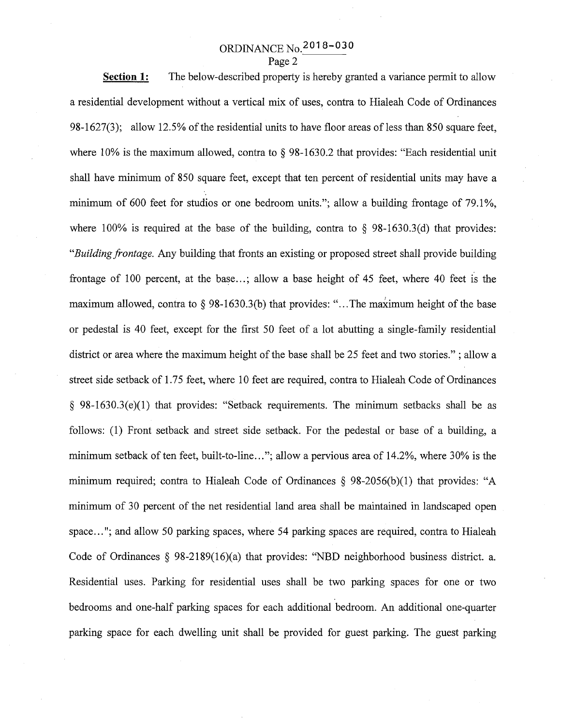## ORDINANCE No.2018-030

Page 2

**Section 1:**  The below-described property is hereby granted a variance permit to allow a residential development without a vertical mix of uses, contra to Hialeah Code of Ordinances 98-1627(3); allow 12.5% of the residential units to have floor areas of less than 850 square feet, where 10% is the maximum allowed, contra to § 98-1630.2 that provides: "Each residential unit shall have minimum of 850 square feet, except that ten percent of residential units may have a minimum of 600 feet for studios or one bedroom units."; allow a building frontage of 79.1%, where 100% is required at the base of the building, contra to  $\S$  98-1630.3(d) that provides: *"Building frontage.* Any building that fronts an existing or proposed street shall provide building frontage of 100 percent, at the base...; allow a base height of 45 feet, where 40 feet is the maximum allowed, contra to  $\S$  98-1630.3(b) that provides: "... The maximum height of the base or pedestal is 40 feet, except for the first 50 feet of a lot abutting a single-family residential district or area where the maximum height of the base shall be 25 feet and two stories." ; allow a street side setback of 1.75 feet, where 10 feet are required, contra to Hialeah Code of Ordinances § 98-1630.3(e)(l) that provides: "Setback requirements. The minimum setbacks shall be as follows: (1) Front setback and street side setback. For the pedestal or base of a building, a minimum setback of ten feet, built-to-line..."; allow a pervious area of 14.2%, where 30% is the minimum required; contra to Hialeah Code of Ordinances  $\S$  98-2056(b)(1) that provides: "A minimum of 30 percent of the net residential land area shall be maintained in landscaped open space..."; and allow 50 parking spaces, where 54 parking spaces are required, contra to Hialeah Code of Ordinances § 98-2189(16)(a) that provides: "NBD neighborhood business district. a. Residential uses. Parking for residential uses shall be two parking spaces for one or two bedrooms and one-half parking spaces for each additional bedroom. An additional one-quarter parking space for each dwelling unit shall be provided for guest parking. The guest parking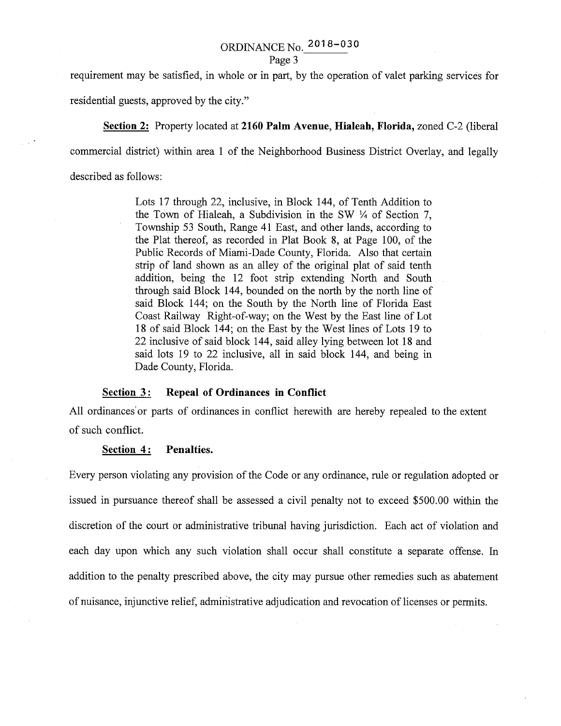# ORDINANCE No. 2018- 030

#### Page 3

requirement may be satisfied, in whole or in part, by the operation of valet parking services for

residential guests, approved by the city."

**Section 2:** Property located at **2160 Palm Avenue, Hialeah, Florida,** zoned C-2 (liberal

commercial district) within area 1 of the Neighborhood Business District Overlay, and legally

described as follows:

Lots 17 through 22, inclusive, in Block 144, of Tenth Addition to the Town of Hialeah, a Subdivision in the SW *Y4* of Section 7, Township 53 South, Range 41 East, and other lands, according to the Plat thereof, as recorded in Plat Book 8, at Page 100, of the Public Records of Miami-Dade County, Florida. Also that certain strip of land shown as an alley of the original plat of said tenth addition, being the 12 foot strip extending North and South through said Block 144, bounded on the north by the north line of said Block 144; on the South by the North line of Florida East Coast Railway Right-of-way; on the West by the East line of Lot 18 of said Block 144; on the East by the West lines of Lots 19 to 22 inclusive of said block 144, said alley lying between lot 18 and said lots 19 to 22 inclusive, all in said block 144, and being in Dade County, Florida.

#### **Section** 3 : **Repeal of Ordinances in Conflict**

All ordinances or parts of ordinances in conflict herewith are hereby repealed to the extent of such conflict.

#### **Section 4: Penalties.**

Every person violating any provision of the Code or any ordinance, rule or regulation adopted or issued in pursuance thereof shall be assessed a civil penalty not to exceed \$500.00 within the discretion of the court or administrative tribunal having jurisdiction. Each act of violation and each day upon which any such violation shall occur shall constitute a separate offense. In addition to the penalty prescribed above, the city may pursue other remedies such as abatement of nuisance, injunctive relief, administrative adjudication and revocation of licenses or permits.